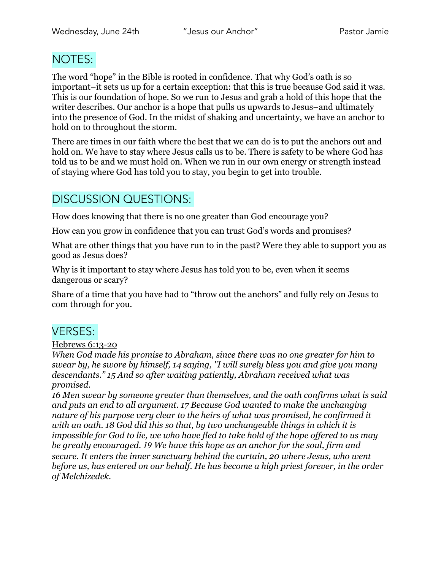## NOTES:

The word "hope" in the Bible is rooted in confidence. That why God's oath is so important–it sets us up for a certain exception: that this is true because God said it was. This is our foundation of hope. So we run to Jesus and grab a hold of this hope that the writer describes. Our anchor is a hope that pulls us upwards to Jesus–and ultimately into the presence of God. In the midst of shaking and uncertainty, we have an anchor to hold on to throughout the storm.

There are times in our faith where the best that we can do is to put the anchors out and hold on. We have to stay where Jesus calls us to be. There is safety to be where God has told us to be and we must hold on. When we run in our own energy or strength instead of staying where God has told you to stay, you begin to get into trouble.

# DISCUSSION QUESTIONS:

How does knowing that there is no one greater than God encourage you?

How can you grow in confidence that you can trust God's words and promises?

What are other things that you have run to in the past? Were they able to support you as good as Jesus does?

Why is it important to stay where Jesus has told you to be, even when it seems dangerous or scary?

Share of a time that you have had to "throw out the anchors" and fully rely on Jesus to com through for you.

### VERSES:

#### Hebrews 6:13-20

*When God made his promise to Abraham, since there was no one greater for him to swear by, he swore by himself, 14 saying, "I will surely bless you and give you many descendants." 15 And so after waiting patiently, Abraham received what was promised.* 

*16 Men swear by someone greater than themselves, and the oath confirms what is said and puts an end to all argument. 17 Because God wanted to make the unchanging nature of his purpose very clear to the heirs of what was promised, he confirmed it with an oath. 18 God did this so that, by two unchangeable things in which it is impossible for God to lie, we who have fled to take hold of the hope offered to us may be greatly encouraged. 19 We have this hope as an anchor for the soul, firm and secure. It enters the inner sanctuary behind the curtain, 20 where Jesus, who went before us, has entered on our behalf. He has become a high priest forever, in the order of Melchizedek.*